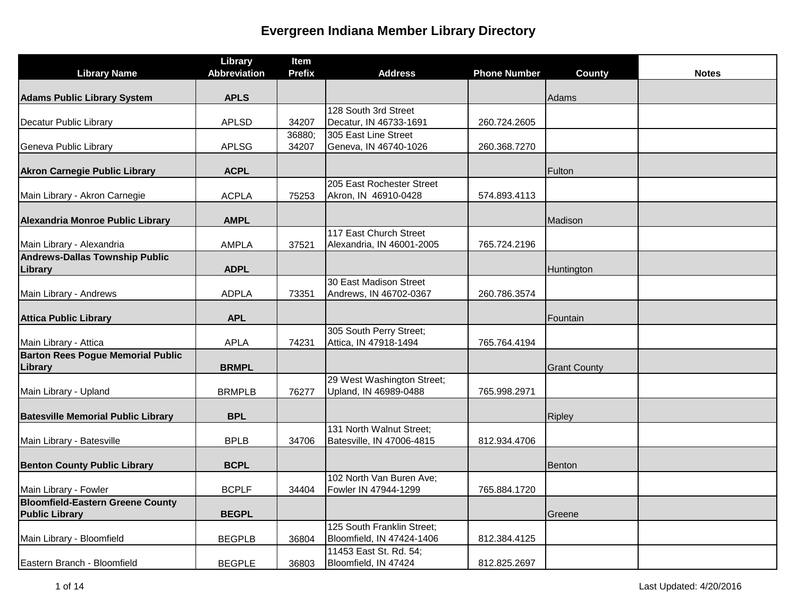|                                           | Library             | Item          |                                                     |                     |                     |              |
|-------------------------------------------|---------------------|---------------|-----------------------------------------------------|---------------------|---------------------|--------------|
| <b>Library Name</b>                       | <b>Abbreviation</b> | <b>Prefix</b> | <b>Address</b>                                      | <b>Phone Number</b> | <b>County</b>       | <b>Notes</b> |
| <b>Adams Public Library System</b>        | <b>APLS</b>         |               |                                                     |                     | Adams               |              |
|                                           |                     |               | 128 South 3rd Street                                |                     |                     |              |
| Decatur Public Library                    | <b>APLSD</b>        | 34207         | Decatur, IN 46733-1691                              | 260.724.2605        |                     |              |
|                                           |                     | 36880;        | 305 East Line Street                                |                     |                     |              |
| Geneva Public Library                     | <b>APLSG</b>        | 34207         | Geneva, IN 46740-1026                               | 260.368.7270        |                     |              |
| <b>Akron Carnegie Public Library</b>      | <b>ACPL</b>         |               |                                                     |                     | Fulton              |              |
|                                           |                     |               | 205 East Rochester Street                           |                     |                     |              |
| Main Library - Akron Carnegie             | <b>ACPLA</b>        | 75253         | Akron, IN 46910-0428                                | 574.893.4113        |                     |              |
| Alexandria Monroe Public Library          | <b>AMPL</b>         |               |                                                     |                     | Madison             |              |
|                                           |                     |               | 117 East Church Street                              |                     |                     |              |
| Main Library - Alexandria                 | <b>AMPLA</b>        | 37521         | Alexandria, IN 46001-2005                           | 765.724.2196        |                     |              |
| <b>Andrews-Dallas Township Public</b>     |                     |               |                                                     |                     |                     |              |
| Library                                   | <b>ADPL</b>         |               |                                                     |                     | Huntington          |              |
| Main Library - Andrews                    | <b>ADPLA</b>        | 73351         | 30 East Madison Street<br>Andrews, IN 46702-0367    | 260.786.3574        |                     |              |
|                                           |                     |               |                                                     |                     |                     |              |
| <b>Attica Public Library</b>              | <b>APL</b>          |               |                                                     |                     | Fountain            |              |
|                                           |                     |               | 305 South Perry Street;                             |                     |                     |              |
| Main Library - Attica                     | <b>APLA</b>         | 74231         | Attica, IN 47918-1494                               | 765.764.4194        |                     |              |
| <b>Barton Rees Pogue Memorial Public</b>  |                     |               |                                                     |                     |                     |              |
| Library                                   | <b>BRMPL</b>        |               |                                                     |                     | <b>Grant County</b> |              |
|                                           |                     |               | 29 West Washington Street;<br>Upland, IN 46989-0488 | 765.998.2971        |                     |              |
| Main Library - Upland                     | <b>BRMPLB</b>       | 76277         |                                                     |                     |                     |              |
| <b>Batesville Memorial Public Library</b> | <b>BPL</b>          |               |                                                     |                     | Ripley              |              |
|                                           |                     |               | 131 North Walnut Street;                            |                     |                     |              |
| Main Library - Batesville                 | <b>BPLB</b>         | 34706         | Batesville, IN 47006-4815                           | 812.934.4706        |                     |              |
| <b>Benton County Public Library</b>       | <b>BCPL</b>         |               |                                                     |                     | Benton              |              |
|                                           |                     |               | 102 North Van Buren Ave;                            |                     |                     |              |
| Main Library - Fowler                     | <b>BCPLF</b>        | 34404         | Fowler IN 47944-1299                                | 765.884.1720        |                     |              |
| <b>Bloomfield-Eastern Greene County</b>   |                     |               |                                                     |                     |                     |              |
| <b>Public Library</b>                     | <b>BEGPL</b>        |               |                                                     |                     | Greene              |              |
|                                           |                     |               | 125 South Franklin Street;                          |                     |                     |              |
| Main Library - Bloomfield                 | <b>BEGPLB</b>       | 36804         | Bloomfield, IN 47424-1406                           | 812.384.4125        |                     |              |
|                                           |                     |               | 11453 East St. Rd. 54;                              |                     |                     |              |
| Eastern Branch - Bloomfield               | <b>BEGPLE</b>       | 36803         | Bloomfield, IN 47424                                | 812.825.2697        |                     |              |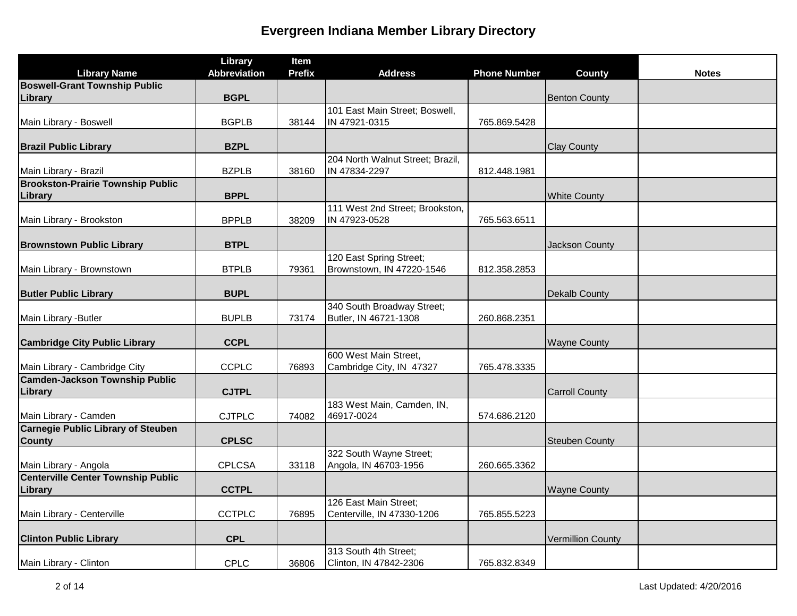|                                           | Library             | Item          |                                                     |                     |                          |              |
|-------------------------------------------|---------------------|---------------|-----------------------------------------------------|---------------------|--------------------------|--------------|
| <b>Library Name</b>                       | <b>Abbreviation</b> | <b>Prefix</b> | <b>Address</b>                                      | <b>Phone Number</b> | <b>County</b>            | <b>Notes</b> |
| <b>Boswell-Grant Township Public</b>      |                     |               |                                                     |                     |                          |              |
| Library                                   | <b>BGPL</b>         |               |                                                     |                     | <b>Benton County</b>     |              |
|                                           |                     |               | 101 East Main Street; Boswell,                      |                     |                          |              |
| Main Library - Boswell                    | <b>BGPLB</b>        | 38144         | IN 47921-0315                                       | 765.869.5428        |                          |              |
| <b>Brazil Public Library</b>              | <b>BZPL</b>         |               |                                                     |                     | <b>Clay County</b>       |              |
|                                           |                     |               | 204 North Walnut Street; Brazil,                    |                     |                          |              |
| Main Library - Brazil                     | <b>BZPLB</b>        | 38160         | IN 47834-2297                                       | 812.448.1981        |                          |              |
| <b>Brookston-Prairie Township Public</b>  |                     |               |                                                     |                     |                          |              |
| Library                                   | <b>BPPL</b>         |               |                                                     |                     | <b>White County</b>      |              |
|                                           |                     |               | 111 West 2nd Street; Brookston,                     |                     |                          |              |
| Main Library - Brookston                  | <b>BPPLB</b>        | 38209         | IN 47923-0528                                       | 765.563.6511        |                          |              |
|                                           |                     |               |                                                     |                     |                          |              |
| <b>Brownstown Public Library</b>          | <b>BTPL</b>         |               |                                                     |                     | Jackson County           |              |
|                                           |                     |               | 120 East Spring Street;                             |                     |                          |              |
| Main Library - Brownstown                 | <b>BTPLB</b>        | 79361         | Brownstown, IN 47220-1546                           | 812.358.2853        |                          |              |
|                                           |                     |               |                                                     |                     |                          |              |
| <b>Butler Public Library</b>              | <b>BUPL</b>         |               |                                                     |                     | Dekalb County            |              |
|                                           |                     |               | 340 South Broadway Street;                          |                     |                          |              |
| Main Library - Butler                     | <b>BUPLB</b>        | 73174         | Butler, IN 46721-1308                               | 260.868.2351        |                          |              |
| <b>Cambridge City Public Library</b>      | <b>CCPL</b>         |               |                                                     |                     | <b>Wayne County</b>      |              |
|                                           |                     |               | 600 West Main Street,                               |                     |                          |              |
| Main Library - Cambridge City             | <b>CCPLC</b>        | 76893         | Cambridge City, IN 47327                            | 765.478.3335        |                          |              |
| <b>Camden-Jackson Township Public</b>     |                     |               |                                                     |                     |                          |              |
| Library                                   | <b>CJTPL</b>        |               |                                                     |                     | <b>Carroll County</b>    |              |
|                                           |                     |               | 183 West Main, Camden, IN,                          |                     |                          |              |
| Main Library - Camden                     | <b>CJTPLC</b>       | 74082         | 46917-0024                                          | 574.686.2120        |                          |              |
| <b>Carnegie Public Library of Steuben</b> |                     |               |                                                     |                     |                          |              |
| <b>County</b>                             | <b>CPLSC</b>        |               |                                                     |                     | <b>Steuben County</b>    |              |
|                                           |                     |               | 322 South Wayne Street;                             |                     |                          |              |
| Main Library - Angola                     | <b>CPLCSA</b>       | 33118         | Angola, IN 46703-1956                               | 260.665.3362        |                          |              |
| <b>Centerville Center Township Public</b> |                     |               |                                                     |                     |                          |              |
| Library                                   | <b>CCTPL</b>        |               |                                                     |                     | <b>Wayne County</b>      |              |
| Main Library - Centerville                |                     | 76895         | 126 East Main Street;<br>Centerville, IN 47330-1206 | 765.855.5223        |                          |              |
|                                           | <b>CCTPLC</b>       |               |                                                     |                     |                          |              |
| <b>Clinton Public Library</b>             | <b>CPL</b>          |               |                                                     |                     | <b>Vermillion County</b> |              |
|                                           |                     |               | 313 South 4th Street;                               |                     |                          |              |
| Main Library - Clinton                    | <b>CPLC</b>         | 36806         | Clinton, IN 47842-2306                              | 765.832.8349        |                          |              |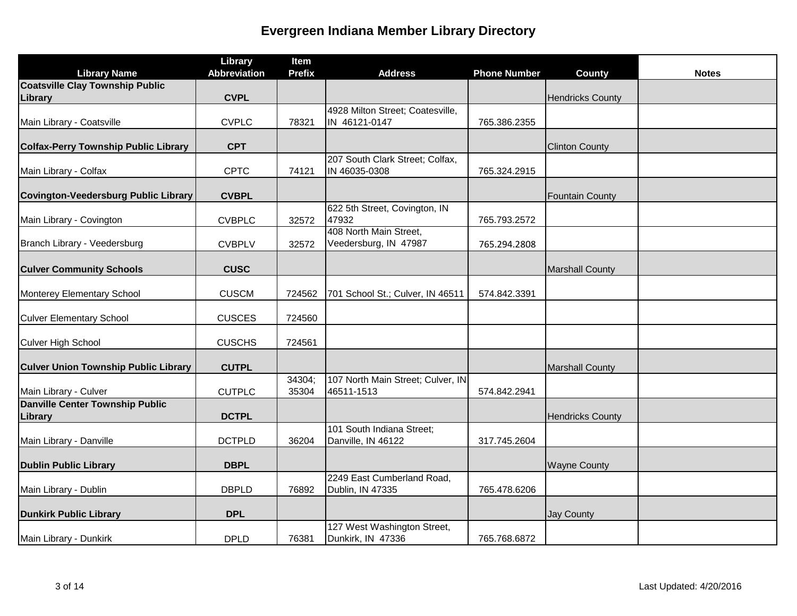| <b>Library Name</b>                               | Library<br><b>Abbreviation</b> | Item<br><b>Prefix</b> | <b>Address</b>                                   | <b>Phone Number</b> | County                  | <b>Notes</b> |
|---------------------------------------------------|--------------------------------|-----------------------|--------------------------------------------------|---------------------|-------------------------|--------------|
| <b>Coatsville Clay Township Public</b>            |                                |                       |                                                  |                     |                         |              |
| Library                                           | <b>CVPL</b>                    |                       |                                                  |                     | <b>Hendricks County</b> |              |
|                                                   |                                |                       | 4928 Milton Street; Coatesville,                 |                     |                         |              |
| Main Library - Coatsville                         | <b>CVPLC</b>                   | 78321                 | IN 46121-0147                                    | 765.386.2355        |                         |              |
| <b>Colfax-Perry Township Public Library</b>       | <b>CPT</b>                     |                       |                                                  |                     | <b>Clinton County</b>   |              |
| Main Library - Colfax                             | <b>CPTC</b>                    | 74121                 | 207 South Clark Street; Colfax,<br>IN 46035-0308 | 765.324.2915        |                         |              |
| Covington-Veedersburg Public Library              | <b>CVBPL</b>                   |                       |                                                  |                     | <b>Fountain County</b>  |              |
| Main Library - Covington                          | <b>CVBPLC</b>                  | 32572                 | 622 5th Street, Covington, IN<br>47932           | 765.793.2572        |                         |              |
| Branch Library - Veedersburg                      | <b>CVBPLV</b>                  | 32572                 | 408 North Main Street,<br>Veedersburg, IN 47987  | 765.294.2808        |                         |              |
| <b>Culver Community Schools</b>                   | <b>CUSC</b>                    |                       |                                                  |                     | <b>Marshall County</b>  |              |
| Monterey Elementary School                        | <b>CUSCM</b>                   | 724562                | 701 School St.; Culver, IN 46511                 | 574.842.3391        |                         |              |
| <b>Culver Elementary School</b>                   | <b>CUSCES</b>                  | 724560                |                                                  |                     |                         |              |
| Culver High School                                | <b>CUSCHS</b>                  | 724561                |                                                  |                     |                         |              |
| <b>Culver Union Township Public Library</b>       | <b>CUTPL</b>                   |                       |                                                  |                     | <b>Marshall County</b>  |              |
| Main Library - Culver                             | <b>CUTPLC</b>                  | 34304;<br>35304       | 107 North Main Street; Culver, IN<br>46511-1513  | 574.842.2941        |                         |              |
| <b>Danville Center Township Public</b><br>Library | <b>DCTPL</b>                   |                       |                                                  |                     | <b>Hendricks County</b> |              |
| Main Library - Danville                           | <b>DCTPLD</b>                  | 36204                 | 101 South Indiana Street;<br>Danville, IN 46122  | 317.745.2604        |                         |              |
| <b>Dublin Public Library</b>                      | <b>DBPL</b>                    |                       |                                                  |                     | <b>Wayne County</b>     |              |
|                                                   |                                |                       | 2249 East Cumberland Road,                       |                     |                         |              |
| Main Library - Dublin                             | <b>DBPLD</b>                   | 76892                 | Dublin, IN 47335                                 | 765.478.6206        |                         |              |
| <b>Dunkirk Public Library</b>                     | <b>DPL</b>                     |                       |                                                  |                     | <b>Jay County</b>       |              |
| Main Library - Dunkirk                            | <b>DPLD</b>                    | 76381                 | 127 West Washington Street,<br>Dunkirk, IN 47336 | 765.768.6872        |                         |              |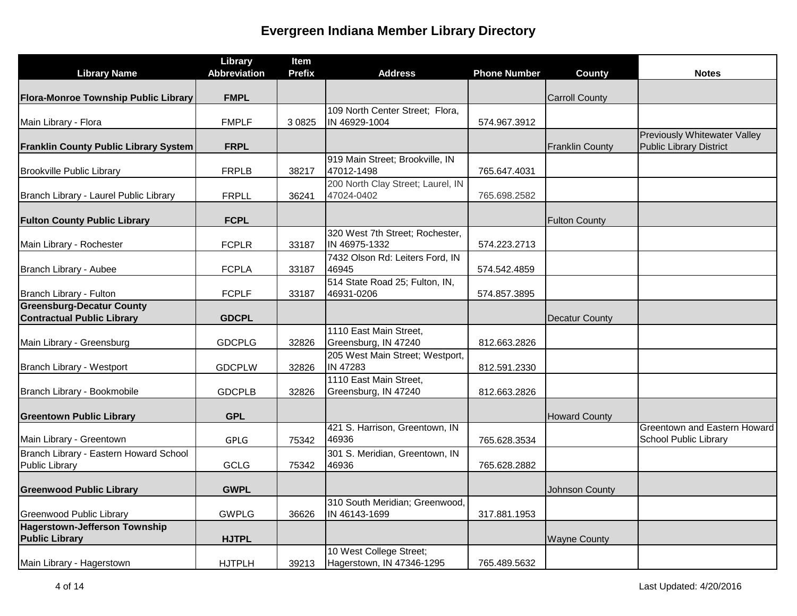| <b>Library Name</b>                                      | Library<br><b>Abbreviation</b> | Item<br><b>Prefix</b> | <b>Address</b>                                   | <b>Phone Number</b> | <b>County</b>          | <b>Notes</b>                                                 |
|----------------------------------------------------------|--------------------------------|-----------------------|--------------------------------------------------|---------------------|------------------------|--------------------------------------------------------------|
|                                                          |                                |                       |                                                  |                     |                        |                                                              |
| Flora-Monroe Township Public Library                     | <b>FMPL</b>                    |                       |                                                  |                     | <b>Carroll County</b>  |                                                              |
|                                                          |                                |                       | 109 North Center Street; Flora,                  |                     |                        |                                                              |
| Main Library - Flora                                     | <b>FMPLF</b>                   | 3 0 8 2 5             | IN 46929-1004                                    | 574.967.3912        |                        | Previously Whitewater Valley                                 |
| <b>Franklin County Public Library System</b>             | <b>FRPL</b>                    |                       |                                                  |                     | <b>Franklin County</b> | <b>Public Library District</b>                               |
| <b>Brookville Public Library</b>                         | <b>FRPLB</b>                   | 38217                 | 919 Main Street; Brookville, IN<br>47012-1498    | 765.647.4031        |                        |                                                              |
| Branch Library - Laurel Public Library                   | <b>FRPLL</b>                   | 36241                 | 200 North Clay Street; Laurel, IN<br>47024-0402  | 765.698.2582        |                        |                                                              |
| <b>Fulton County Public Library</b>                      | <b>FCPL</b>                    |                       |                                                  |                     | <b>Fulton County</b>   |                                                              |
| Main Library - Rochester                                 | <b>FCPLR</b>                   | 33187                 | 320 West 7th Street; Rochester,<br>IN 46975-1332 | 574.223.2713        |                        |                                                              |
| Branch Library - Aubee                                   | <b>FCPLA</b>                   | 33187                 | 7432 Olson Rd: Leiters Ford, IN<br>46945         | 574.542.4859        |                        |                                                              |
| Branch Library - Fulton                                  | <b>FCPLF</b>                   | 33187                 | 514 State Road 25; Fulton, IN,<br>46931-0206     | 574.857.3895        |                        |                                                              |
| <b>Greensburg-Decatur County</b>                         |                                |                       |                                                  |                     |                        |                                                              |
| <b>Contractual Public Library</b>                        | <b>GDCPL</b>                   |                       |                                                  |                     | <b>Decatur County</b>  |                                                              |
| Main Library - Greensburg                                | <b>GDCPLG</b>                  | 32826                 | 1110 East Main Street,<br>Greensburg, IN 47240   | 812.663.2826        |                        |                                                              |
| Branch Library - Westport                                | <b>GDCPLW</b>                  | 32826                 | 205 West Main Street; Westport,<br>IN 47283      | 812.591.2330        |                        |                                                              |
| Branch Library - Bookmobile                              | <b>GDCPLB</b>                  | 32826                 | 1110 East Main Street,<br>Greensburg, IN 47240   | 812.663.2826        |                        |                                                              |
| <b>Greentown Public Library</b>                          | <b>GPL</b>                     |                       |                                                  |                     | <b>Howard County</b>   |                                                              |
| Main Library - Greentown                                 | <b>GPLG</b>                    | 75342                 | 421 S. Harrison, Greentown, IN<br>46936          | 765.628.3534        |                        | <b>Greentown and Eastern Howard</b><br>School Public Library |
| Branch Library - Eastern Howard School<br>Public Library | <b>GCLG</b>                    | 75342                 | 301 S. Meridian, Greentown, IN<br>46936          | 765.628.2882        |                        |                                                              |
| <b>Greenwood Public Library</b>                          | <b>GWPL</b>                    |                       |                                                  |                     | Johnson County         |                                                              |
| <b>Greenwood Public Library</b>                          | <b>GWPLG</b>                   | 36626                 | 310 South Meridian; Greenwood,<br>IN 46143-1699  | 317.881.1953        |                        |                                                              |
| <b>Hagerstown-Jefferson Township</b>                     |                                |                       |                                                  |                     |                        |                                                              |
| <b>Public Library</b>                                    | <b>HJTPL</b>                   |                       |                                                  |                     | <b>Wayne County</b>    |                                                              |
|                                                          |                                |                       | 10 West College Street;                          |                     |                        |                                                              |
| Main Library - Hagerstown                                | <b>HJTPLH</b>                  | 39213                 | Hagerstown, IN 47346-1295                        | 765.489.5632        |                        |                                                              |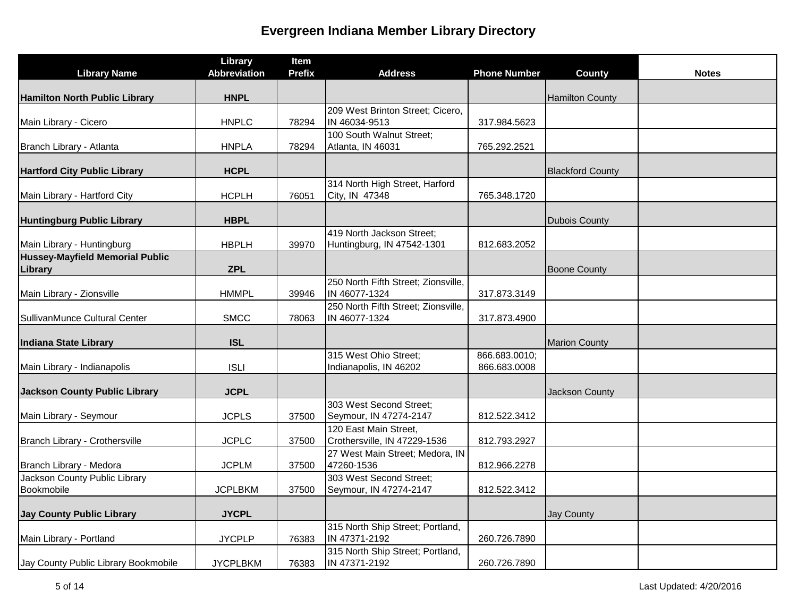| <b>Library Name</b>                        | Library<br><b>Abbreviation</b> | Item<br><b>Prefix</b> | <b>Address</b>                                    | <b>Phone Number</b> | <b>County</b>           | <b>Notes</b> |
|--------------------------------------------|--------------------------------|-----------------------|---------------------------------------------------|---------------------|-------------------------|--------------|
|                                            |                                |                       |                                                   |                     |                         |              |
| Hamilton North Public Library              | <b>HNPL</b>                    |                       |                                                   |                     | <b>Hamilton County</b>  |              |
|                                            |                                |                       | 209 West Brinton Street; Cicero,                  |                     |                         |              |
| Main Library - Cicero                      | <b>HNPLC</b>                   | 78294                 | IN 46034-9513                                     | 317.984.5623        |                         |              |
| Branch Library - Atlanta                   | <b>HNPLA</b>                   | 78294                 | 100 South Walnut Street;<br>Atlanta, IN 46031     | 765.292.2521        |                         |              |
|                                            |                                |                       |                                                   |                     |                         |              |
| <b>Hartford City Public Library</b>        | <b>HCPL</b>                    |                       |                                                   |                     | <b>Blackford County</b> |              |
| Main Library - Hartford City               | <b>HCPLH</b>                   | 76051                 | 314 North High Street, Harford<br>City, IN 47348  | 765.348.1720        |                         |              |
|                                            |                                |                       |                                                   |                     |                         |              |
| <b>Huntingburg Public Library</b>          | <b>HBPL</b>                    |                       |                                                   |                     | <b>Dubois County</b>    |              |
|                                            |                                |                       | 419 North Jackson Street;                         |                     |                         |              |
| Main Library - Huntingburg                 | <b>HBPLH</b>                   | 39970                 | Huntingburg, IN 47542-1301                        | 812.683.2052        |                         |              |
| Hussey-Mayfield Memorial Public<br>Library | <b>ZPL</b>                     |                       |                                                   |                     | <b>Boone County</b>     |              |
|                                            |                                |                       | 250 North Fifth Street; Zionsville,               |                     |                         |              |
| Main Library - Zionsville                  | <b>HMMPL</b>                   | 39946                 | IN 46077-1324                                     | 317.873.3149        |                         |              |
|                                            |                                |                       | 250 North Fifth Street; Zionsville,               |                     |                         |              |
| SullivanMunce Cultural Center              | <b>SMCC</b>                    | 78063                 | IN 46077-1324                                     | 317.873.4900        |                         |              |
| Indiana State Library                      | <b>ISL</b>                     |                       |                                                   |                     | <b>Marion County</b>    |              |
|                                            |                                |                       | 315 West Ohio Street;                             | 866.683.0010;       |                         |              |
| Main Library - Indianapolis                | <b>ISLI</b>                    |                       | Indianapolis, IN 46202                            | 866.683.0008        |                         |              |
| <b>Jackson County Public Library</b>       | <b>JCPL</b>                    |                       |                                                   |                     | <b>Jackson County</b>   |              |
|                                            |                                |                       | 303 West Second Street;                           |                     |                         |              |
| Main Library - Seymour                     | <b>JCPLS</b>                   | 37500                 | Seymour, IN 47274-2147                            | 812.522.3412        |                         |              |
|                                            |                                |                       | 120 East Main Street,                             |                     |                         |              |
| Branch Library - Crothersville             | <b>JCPLC</b>                   | 37500                 | Crothersville, IN 47229-1536                      | 812.793.2927        |                         |              |
| Branch Library - Medora                    | <b>JCPLM</b>                   | 37500                 | 27 West Main Street; Medora, IN<br>47260-1536     | 812.966.2278        |                         |              |
| Jackson County Public Library              |                                |                       | 303 West Second Street;                           |                     |                         |              |
| Bookmobile                                 | <b>JCPLBKM</b>                 | 37500                 | Seymour, IN 47274-2147                            | 812.522.3412        |                         |              |
|                                            |                                |                       |                                                   |                     |                         |              |
| <b>Jay County Public Library</b>           | <b>JYCPL</b>                   |                       |                                                   |                     | <b>Jay County</b>       |              |
| Main Library - Portland                    | <b>JYCPLP</b>                  | 76383                 | 315 North Ship Street; Portland,<br>IN 47371-2192 | 260.726.7890        |                         |              |
|                                            |                                |                       | 315 North Ship Street; Portland,                  |                     |                         |              |
| Jay County Public Library Bookmobile       | <b>JYCPLBKM</b>                | 76383                 | IN 47371-2192                                     | 260.726.7890        |                         |              |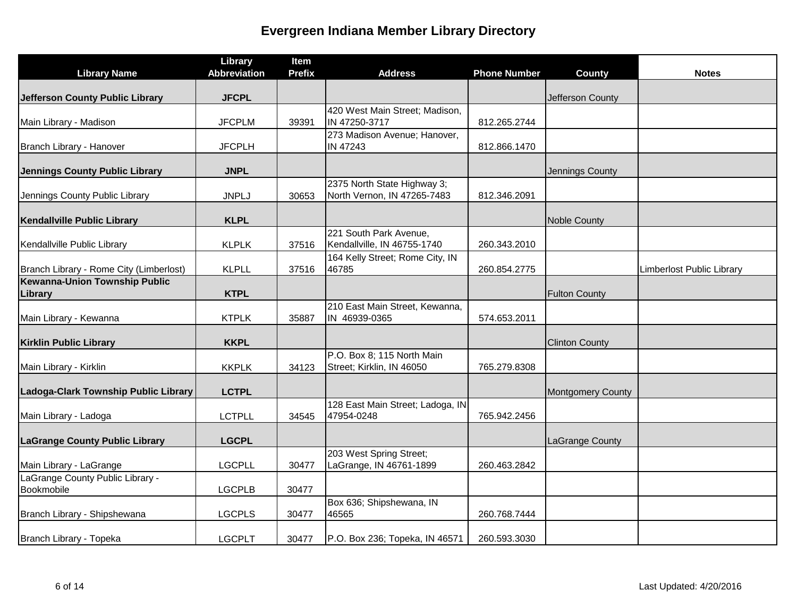| <b>Library Name</b>                            | Library<br><b>Abbreviation</b> | Item<br><b>Prefix</b> | <b>Address</b>                                             | <b>Phone Number</b> | <b>County</b>            | <b>Notes</b>                     |
|------------------------------------------------|--------------------------------|-----------------------|------------------------------------------------------------|---------------------|--------------------------|----------------------------------|
|                                                |                                |                       |                                                            |                     |                          |                                  |
| Jefferson County Public Library                | <b>JFCPL</b>                   |                       |                                                            |                     | Jefferson County         |                                  |
|                                                |                                |                       | 420 West Main Street; Madison,                             |                     |                          |                                  |
| Main Library - Madison                         | <b>JFCPLM</b>                  | 39391                 | IN 47250-3717                                              | 812.265.2744        |                          |                                  |
| Branch Library - Hanover                       | <b>JFCPLH</b>                  |                       | 273 Madison Avenue; Hanover,<br><b>IN 47243</b>            | 812.866.1470        |                          |                                  |
| Jennings County Public Library                 | <b>JNPL</b>                    |                       |                                                            |                     | Jennings County          |                                  |
| Jennings County Public Library                 | <b>JNPLJ</b>                   | 30653                 | 2375 North State Highway 3;<br>North Vernon, IN 47265-7483 | 812.346.2091        |                          |                                  |
| Kendallville Public Library                    | <b>KLPL</b>                    |                       |                                                            |                     | <b>Noble County</b>      |                                  |
| Kendallville Public Library                    | <b>KLPLK</b>                   | 37516                 | 221 South Park Avenue,<br>Kendallville, IN 46755-1740      | 260.343.2010        |                          |                                  |
| Branch Library - Rome City (Limberlost)        | <b>KLPLL</b>                   | 37516                 | 164 Kelly Street; Rome City, IN<br>46785                   | 260.854.2775        |                          | <b>Limberlost Public Library</b> |
| Kewanna-Union Township Public<br>Library       | <b>KTPL</b>                    |                       |                                                            |                     | <b>Fulton County</b>     |                                  |
| Main Library - Kewanna                         | <b>KTPLK</b>                   | 35887                 | 210 East Main Street, Kewanna,<br>IN 46939-0365            | 574.653.2011        |                          |                                  |
| <b>Kirklin Public Library</b>                  | <b>KKPL</b>                    |                       |                                                            |                     | <b>Clinton County</b>    |                                  |
| Main Library - Kirklin                         | <b>KKPLK</b>                   | 34123                 | P.O. Box 8; 115 North Main<br>Street; Kirklin, IN 46050    | 765.279.8308        |                          |                                  |
| Ladoga-Clark Township Public Library           | <b>LCTPL</b>                   |                       |                                                            |                     | <b>Montgomery County</b> |                                  |
| Main Library - Ladoga                          | <b>LCTPLL</b>                  | 34545                 | 128 East Main Street; Ladoga, IN<br>47954-0248             | 765.942.2456        |                          |                                  |
| <b>LaGrange County Public Library</b>          | <b>LGCPL</b>                   |                       |                                                            |                     | LaGrange County          |                                  |
| Main Library - LaGrange                        | <b>LGCPLL</b>                  | 30477                 | 203 West Spring Street;<br>LaGrange, IN 46761-1899         | 260.463.2842        |                          |                                  |
| LaGrange County Public Library -<br>Bookmobile | <b>LGCPLB</b>                  | 30477                 |                                                            |                     |                          |                                  |
| Branch Library - Shipshewana                   | <b>LGCPLS</b>                  | 30477                 | Box 636; Shipshewana, IN<br>46565                          | 260.768.7444        |                          |                                  |
| Branch Library - Topeka                        | <b>LGCPLT</b>                  | 30477                 | P.O. Box 236; Topeka, IN 46571                             | 260.593.3030        |                          |                                  |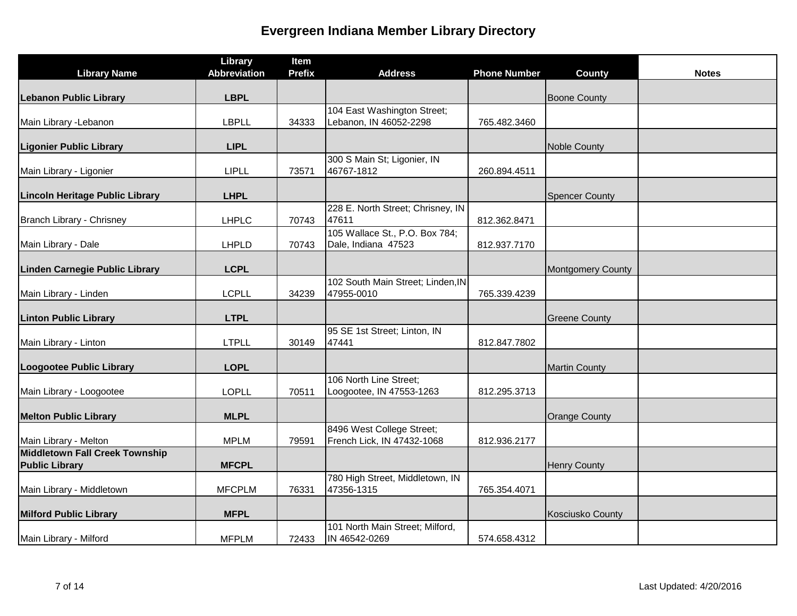| <b>Library Name</b>                                     | Library<br><b>Abbreviation</b> | Item<br><b>Prefix</b> | <b>Address</b>                                          | <b>Phone Number</b> | County                   | <b>Notes</b> |
|---------------------------------------------------------|--------------------------------|-----------------------|---------------------------------------------------------|---------------------|--------------------------|--------------|
| <b>Lebanon Public Library</b>                           | <b>LBPL</b>                    |                       |                                                         |                     | <b>Boone County</b>      |              |
| Main Library - Lebanon                                  | <b>LBPLL</b>                   | 34333                 | 104 East Washington Street;<br>Lebanon, IN 46052-2298   | 765.482.3460        |                          |              |
| <b>Ligonier Public Library</b>                          | <b>LIPL</b>                    |                       |                                                         |                     | <b>Noble County</b>      |              |
| Main Library - Ligonier                                 | <b>LIPLL</b>                   | 73571                 | 300 S Main St; Ligonier, IN<br>46767-1812               | 260.894.4511        |                          |              |
| Lincoln Heritage Public Library                         | <b>LHPL</b>                    |                       |                                                         |                     | <b>Spencer County</b>    |              |
| Branch Library - Chrisney                               | <b>LHPLC</b>                   | 70743                 | 228 E. North Street; Chrisney, IN<br>47611              | 812.362.8471        |                          |              |
| Main Library - Dale                                     | <b>LHPLD</b>                   | 70743                 | 105 Wallace St., P.O. Box 784;<br>Dale, Indiana 47523   | 812.937.7170        |                          |              |
| Linden Carnegie Public Library                          | <b>LCPL</b>                    |                       |                                                         |                     | <b>Montgomery County</b> |              |
| Main Library - Linden                                   | <b>LCPLL</b>                   | 34239                 | 102 South Main Street; Linden, IN<br>47955-0010         | 765.339.4239        |                          |              |
| <b>Linton Public Library</b>                            | <b>LTPL</b>                    |                       |                                                         |                     | <b>Greene County</b>     |              |
| Main Library - Linton                                   | <b>LTPLL</b>                   | 30149                 | 95 SE 1st Street; Linton, IN<br>47441                   | 812.847.7802        |                          |              |
| Loogootee Public Library                                | <b>LOPL</b>                    |                       |                                                         |                     | <b>Martin County</b>     |              |
| Main Library - Loogootee                                | <b>LOPLL</b>                   | 70511                 | 106 North Line Street;<br>Loogootee, IN 47553-1263      | 812.295.3713        |                          |              |
| <b>Melton Public Library</b>                            | <b>MLPL</b>                    |                       |                                                         |                     | <b>Orange County</b>     |              |
| Main Library - Melton                                   | <b>MPLM</b>                    | 79591                 | 8496 West College Street;<br>French Lick, IN 47432-1068 | 812.936.2177        |                          |              |
| Middletown Fall Creek Township<br><b>Public Library</b> | <b>MFCPL</b>                   |                       |                                                         |                     | <b>Henry County</b>      |              |
| Main Library - Middletown                               | <b>MFCPLM</b>                  | 76331                 | 780 High Street, Middletown, IN<br>47356-1315           | 765.354.4071        |                          |              |
| <b>Milford Public Library</b>                           | <b>MFPL</b>                    |                       |                                                         |                     | <b>Kosciusko County</b>  |              |
| Main Library - Milford                                  | <b>MFPLM</b>                   | 72433                 | 101 North Main Street; Milford,<br>IN 46542-0269        | 574.658.4312        |                          |              |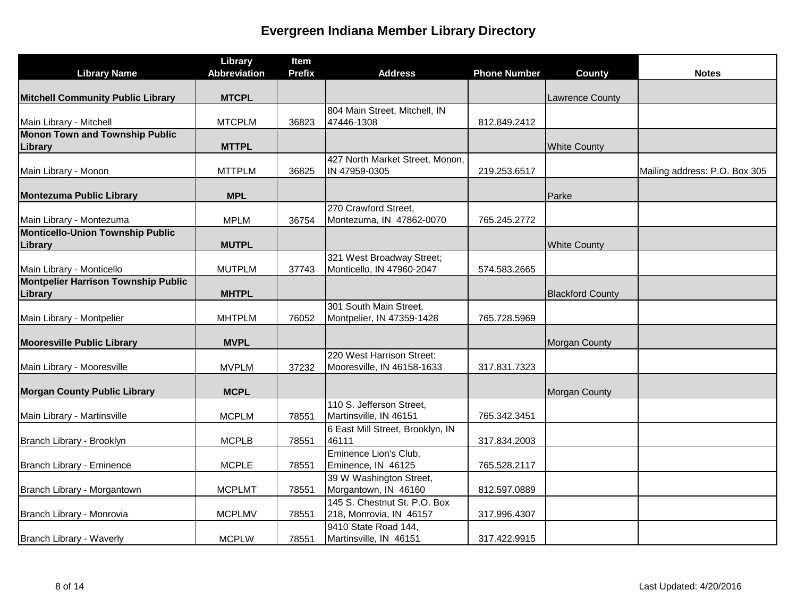| <b>Library Name</b>                                   | Library<br><b>Abbreviation</b> | Item<br><b>Prefix</b> | <b>Address</b>                                          | <b>Phone Number</b> | <b>County</b>           | <b>Notes</b>                  |
|-------------------------------------------------------|--------------------------------|-----------------------|---------------------------------------------------------|---------------------|-------------------------|-------------------------------|
| <b>Mitchell Community Public Library</b>              | <b>MTCPL</b>                   |                       |                                                         |                     | <b>Lawrence County</b>  |                               |
| Main Library - Mitchell                               | <b>MTCPLM</b>                  | 36823                 | 804 Main Street, Mitchell, IN<br>47446-1308             | 812.849.2412        |                         |                               |
| <b>Monon Town and Township Public</b><br>Library      | <b>MTTPL</b>                   |                       |                                                         |                     | <b>White County</b>     |                               |
| Main Library - Monon                                  | <b>MTTPLM</b>                  | 36825                 | 427 North Market Street, Monon,<br>IN 47959-0305        | 219.253.6517        |                         | Mailing address: P.O. Box 305 |
| <b>Montezuma Public Library</b>                       | <b>MPL</b>                     |                       |                                                         |                     | Parke                   |                               |
| Main Library - Montezuma                              | <b>MPLM</b>                    | 36754                 | 270 Crawford Street,<br>Montezuma, IN 47862-0070        | 765.245.2772        |                         |                               |
| Monticello-Union Township Public<br>Library           | <b>MUTPL</b>                   |                       |                                                         |                     | <b>White County</b>     |                               |
| Main Library - Monticello                             | <b>MUTPLM</b>                  | 37743                 | 321 West Broadway Street;<br>Monticello, IN 47960-2047  | 574.583.2665        |                         |                               |
| <b>Montpelier Harrison Township Public</b><br>Library | <b>MHTPL</b>                   |                       |                                                         |                     | <b>Blackford County</b> |                               |
| Main Library - Montpelier                             | <b>MHTPLM</b>                  | 76052                 | 301 South Main Street,<br>Montpelier, IN 47359-1428     | 765.728.5969        |                         |                               |
| <b>Mooresville Public Library</b>                     | <b>MVPL</b>                    |                       |                                                         |                     | <b>Morgan County</b>    |                               |
| Main Library - Mooresville                            | <b>MVPLM</b>                   | 37232                 | 220 West Harrison Street:<br>Mooresville, IN 46158-1633 | 317.831.7323        |                         |                               |
| <b>Morgan County Public Library</b>                   | <b>MCPL</b>                    |                       |                                                         |                     | <b>Morgan County</b>    |                               |
| Main Library - Martinsville                           | <b>MCPLM</b>                   | 78551                 | 110 S. Jefferson Street,<br>Martinsville, IN 46151      | 765.342.3451        |                         |                               |
| Branch Library - Brooklyn                             | <b>MCPLB</b>                   | 78551                 | 6 East Mill Street, Brooklyn, IN<br>46111               | 317.834.2003        |                         |                               |
| Branch Library - Eminence                             | <b>MCPLE</b>                   | 78551                 | Eminence Lion's Club,<br>Eminence, IN 46125             | 765.528.2117        |                         |                               |
| Branch Library - Morgantown                           | <b>MCPLMT</b>                  | 78551                 | 39 W Washington Street,<br>Morgantown, IN 46160         | 812.597.0889        |                         |                               |
| Branch Library - Monrovia                             | <b>MCPLMV</b>                  | 78551                 | 145 S. Chestnut St. P.O. Box<br>218, Monrovia, IN 46157 | 317.996.4307        |                         |                               |
| Branch Library - Waverly                              | <b>MCPLW</b>                   | 78551                 | 9410 State Road 144,<br>Martinsville, IN 46151          | 317.422.9915        |                         |                               |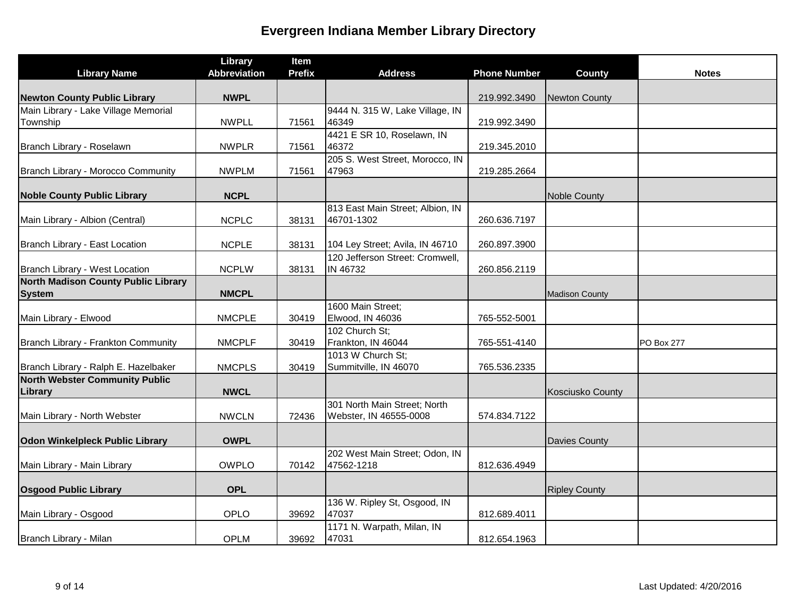|                                            | Library             | Item          |                                                        |                     |                         |                   |
|--------------------------------------------|---------------------|---------------|--------------------------------------------------------|---------------------|-------------------------|-------------------|
| <b>Library Name</b>                        | <b>Abbreviation</b> | <b>Prefix</b> | <b>Address</b>                                         | <b>Phone Number</b> | <b>County</b>           | <b>Notes</b>      |
| <b>Newton County Public Library</b>        | <b>NWPL</b>         |               |                                                        | 219.992.3490        | <b>Newton County</b>    |                   |
| Main Library - Lake Village Memorial       |                     |               | 9444 N. 315 W, Lake Village, IN                        |                     |                         |                   |
| Township                                   | <b>NWPLL</b>        | 71561         | 46349                                                  | 219.992.3490        |                         |                   |
| Branch Library - Roselawn                  | <b>NWPLR</b>        | 71561         | 4421 E SR 10, Roselawn, IN<br>46372                    | 219.345.2010        |                         |                   |
|                                            |                     |               | 205 S. West Street, Morocco, IN                        |                     |                         |                   |
| Branch Library - Morocco Community         | <b>NWPLM</b>        | 71561         | 47963                                                  | 219.285.2664        |                         |                   |
| <b>Noble County Public Library</b>         | <b>NCPL</b>         |               |                                                        |                     | <b>Noble County</b>     |                   |
| Main Library - Albion (Central)            | <b>NCPLC</b>        | 38131         | 813 East Main Street; Albion, IN<br>46701-1302         | 260.636.7197        |                         |                   |
|                                            |                     |               |                                                        |                     |                         |                   |
| Branch Library - East Location             | <b>NCPLE</b>        | 38131         | 104 Ley Street; Avila, IN 46710                        | 260.897.3900        |                         |                   |
| Branch Library - West Location             | <b>NCPLW</b>        | 38131         | 120 Jefferson Street: Cromwell,<br>IN 46732            | 260.856.2119        |                         |                   |
| <b>North Madison County Public Library</b> |                     |               |                                                        |                     |                         |                   |
| <b>System</b>                              | <b>NMCPL</b>        |               |                                                        |                     | <b>Madison County</b>   |                   |
| Main Library - Elwood                      | <b>NMCPLE</b>       | 30419         | 1600 Main Street:<br>Elwood, IN 46036                  | 765-552-5001        |                         |                   |
|                                            |                     |               | 102 Church St;                                         |                     |                         |                   |
| Branch Library - Frankton Community        | <b>NMCPLF</b>       | 30419         | Frankton, IN 46044<br>1013 W Church St;                | 765-551-4140        |                         | <b>PO Box 277</b> |
| Branch Library - Ralph E. Hazelbaker       | <b>NMCPLS</b>       | 30419         | Summitville, IN 46070                                  | 765.536.2335        |                         |                   |
| <b>North Webster Community Public</b>      |                     |               |                                                        |                     |                         |                   |
| Library                                    | <b>NWCL</b>         |               |                                                        |                     | <b>Kosciusko County</b> |                   |
| Main Library - North Webster               | <b>NWCLN</b>        | 72436         | 301 North Main Street; North<br>Webster, IN 46555-0008 | 574.834.7122        |                         |                   |
| <b>Odon Winkelpleck Public Library</b>     | <b>OWPL</b>         |               |                                                        |                     | <b>Davies County</b>    |                   |
|                                            |                     |               | 202 West Main Street; Odon, IN                         |                     |                         |                   |
| Main Library - Main Library                | <b>OWPLO</b>        | 70142         | 47562-1218                                             | 812.636.4949        |                         |                   |
| <b>Osgood Public Library</b>               | <b>OPL</b>          |               |                                                        |                     | <b>Ripley County</b>    |                   |
|                                            |                     |               | 136 W. Ripley St, Osgood, IN                           |                     |                         |                   |
| Main Library - Osgood                      | OPLO                | 39692         | 47037                                                  | 812.689.4011        |                         |                   |
|                                            |                     |               | 1171 N. Warpath, Milan, IN                             |                     |                         |                   |
| Branch Library - Milan                     | <b>OPLM</b>         | 39692         | 47031                                                  | 812.654.1963        |                         |                   |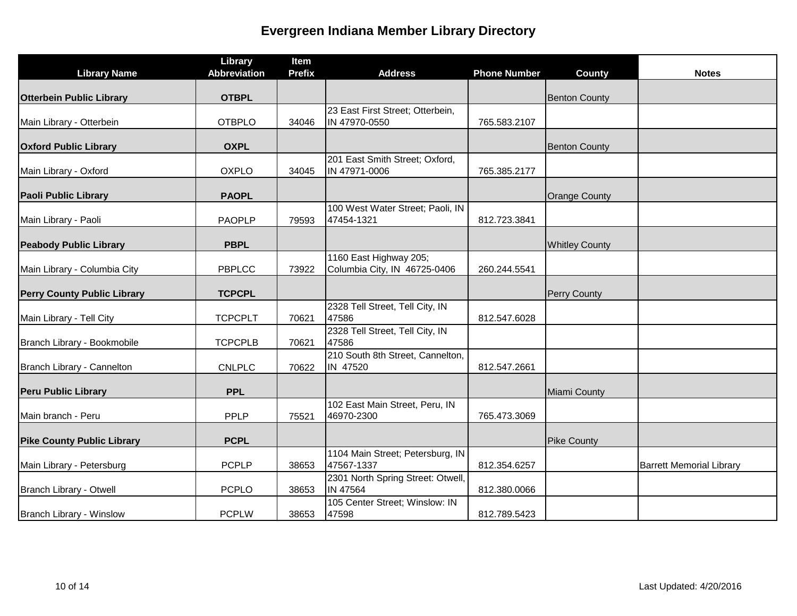|                                    | Library             | Item          |                                                        |                     |                       |                                 |
|------------------------------------|---------------------|---------------|--------------------------------------------------------|---------------------|-----------------------|---------------------------------|
| <b>Library Name</b>                | <b>Abbreviation</b> | <b>Prefix</b> | <b>Address</b>                                         | <b>Phone Number</b> | <b>County</b>         | <b>Notes</b>                    |
| <b>Otterbein Public Library</b>    | <b>OTBPL</b>        |               |                                                        |                     | <b>Benton County</b>  |                                 |
| Main Library - Otterbein           | <b>OTBPLO</b>       | 34046         | 23 East First Street; Otterbein,<br>IN 47970-0550      | 765.583.2107        |                       |                                 |
| <b>Oxford Public Library</b>       | <b>OXPL</b>         |               |                                                        |                     | <b>Benton County</b>  |                                 |
| Main Library - Oxford              | <b>OXPLO</b>        | 34045         | 201 East Smith Street; Oxford,<br>IN 47971-0006        | 765.385.2177        |                       |                                 |
| <b>Paoli Public Library</b>        | <b>PAOPL</b>        |               |                                                        |                     | <b>Orange County</b>  |                                 |
| Main Library - Paoli               | <b>PAOPLP</b>       | 79593         | 100 West Water Street; Paoli, IN<br>47454-1321         | 812.723.3841        |                       |                                 |
| <b>Peabody Public Library</b>      | <b>PBPL</b>         |               |                                                        |                     | <b>Whitley County</b> |                                 |
| Main Library - Columbia City       | PBPLCC              | 73922         | 1160 East Highway 205;<br>Columbia City, IN 46725-0406 | 260.244.5541        |                       |                                 |
| <b>Perry County Public Library</b> | <b>TCPCPL</b>       |               |                                                        |                     | Perry County          |                                 |
| Main Library - Tell City           | <b>TCPCPLT</b>      | 70621         | 2328 Tell Street, Tell City, IN<br>47586               | 812.547.6028        |                       |                                 |
| Branch Library - Bookmobile        | <b>TCPCPLB</b>      | 70621         | 2328 Tell Street, Tell City, IN<br>47586               |                     |                       |                                 |
| Branch Library - Cannelton         | <b>CNLPLC</b>       | 70622         | 210 South 8th Street, Cannelton,<br>IN 47520           | 812.547.2661        |                       |                                 |
| <b>Peru Public Library</b>         | <b>PPL</b>          |               |                                                        |                     | Miami County          |                                 |
| Main branch - Peru                 | <b>PPLP</b>         | 75521         | 102 East Main Street, Peru, IN<br>46970-2300           | 765.473.3069        |                       |                                 |
| <b>Pike County Public Library</b>  | <b>PCPL</b>         |               |                                                        |                     | <b>Pike County</b>    |                                 |
| Main Library - Petersburg          | <b>PCPLP</b>        | 38653         | 1104 Main Street; Petersburg, IN<br>47567-1337         | 812.354.6257        |                       | <b>Barrett Memorial Library</b> |
| Branch Library - Otwell            | <b>PCPLO</b>        | 38653         | 2301 North Spring Street: Otwell,<br>IN 47564          | 812.380.0066        |                       |                                 |
| Branch Library - Winslow           | <b>PCPLW</b>        | 38653         | 105 Center Street; Winslow: IN<br>47598                | 812.789.5423        |                       |                                 |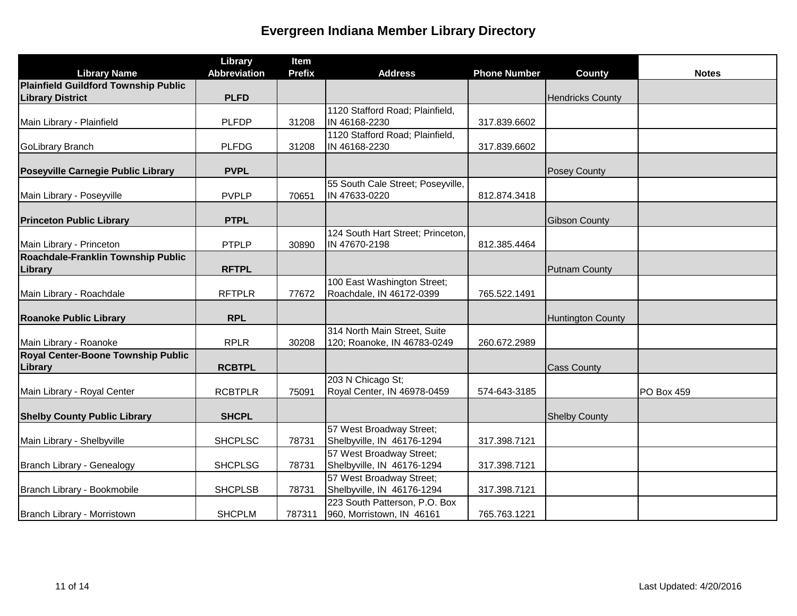|                                                      | Library             | Item          |                                   |                     |                          |              |
|------------------------------------------------------|---------------------|---------------|-----------------------------------|---------------------|--------------------------|--------------|
| <b>Library Name</b>                                  | <b>Abbreviation</b> | <b>Prefix</b> | <b>Address</b>                    | <b>Phone Number</b> | <b>County</b>            | <b>Notes</b> |
| Plainfield Guildford Township Public                 |                     |               |                                   |                     |                          |              |
| <b>Library District</b>                              | <b>PLFD</b>         |               |                                   |                     | <b>Hendricks County</b>  |              |
|                                                      |                     |               | 1120 Stafford Road; Plainfield,   |                     |                          |              |
| Main Library - Plainfield                            | <b>PLFDP</b>        | 31208         | IN 46168-2230                     | 317.839.6602        |                          |              |
|                                                      |                     |               | 1120 Stafford Road; Plainfield,   |                     |                          |              |
| GoLibrary Branch                                     | <b>PLFDG</b>        | 31208         | IN 46168-2230                     | 317.839.6602        |                          |              |
| Poseyville Carnegie Public Library                   | <b>PVPL</b>         |               |                                   |                     | Posey County             |              |
|                                                      |                     |               | 55 South Cale Street; Poseyville, |                     |                          |              |
| Main Library - Poseyville                            | <b>PVPLP</b>        | 70651         | IN 47633-0220                     | 812.874.3418        |                          |              |
|                                                      |                     |               |                                   |                     |                          |              |
| <b>Princeton Public Library</b>                      | <b>PTPL</b>         |               |                                   |                     | <b>Gibson County</b>     |              |
|                                                      |                     |               | 124 South Hart Street; Princeton, |                     |                          |              |
| Main Library - Princeton                             | <b>PTPLP</b>        | 30890         | IN 47670-2198                     | 812.385.4464        |                          |              |
| Roachdale-Franklin Township Public                   |                     |               |                                   |                     |                          |              |
| Library                                              | <b>RFTPL</b>        |               |                                   |                     | <b>Putnam County</b>     |              |
|                                                      |                     |               | 100 East Washington Street;       |                     |                          |              |
| Main Library - Roachdale                             | <b>RFTPLR</b>       | 77672         | Roachdale, IN 46172-0399          | 765.522.1491        |                          |              |
|                                                      |                     |               |                                   |                     |                          |              |
| <b>Roanoke Public Library</b>                        | <b>RPL</b>          |               |                                   |                     | <b>Huntington County</b> |              |
|                                                      |                     |               | 314 North Main Street, Suite      |                     |                          |              |
| Main Library - Roanoke                               | <b>RPLR</b>         | 30208         | 120; Roanoke, IN 46783-0249       | 260.672.2989        |                          |              |
| <b>Royal Center-Boone Township Public</b><br>Library | <b>RCBTPL</b>       |               |                                   |                     | <b>Cass County</b>       |              |
|                                                      |                     |               | 203 N Chicago St;                 |                     |                          |              |
| Main Library - Royal Center                          | <b>RCBTPLR</b>      | 75091         | Royal Center, IN 46978-0459       | 574-643-3185        |                          | PO Box 459   |
|                                                      |                     |               |                                   |                     |                          |              |
| <b>Shelby County Public Library</b>                  | <b>SHCPL</b>        |               |                                   |                     | <b>Shelby County</b>     |              |
|                                                      |                     |               | 57 West Broadway Street;          |                     |                          |              |
| Main Library - Shelbyville                           | <b>SHCPLSC</b>      | 78731         | Shelbyville, IN 46176-1294        | 317.398.7121        |                          |              |
|                                                      |                     |               | 57 West Broadway Street;          |                     |                          |              |
| Branch Library - Genealogy                           | <b>SHCPLSG</b>      | 78731         | Shelbyville, IN 46176-1294        | 317.398.7121        |                          |              |
|                                                      |                     |               | 57 West Broadway Street;          |                     |                          |              |
| Branch Library - Bookmobile                          | <b>SHCPLSB</b>      | 78731         | Shelbyville, IN 46176-1294        | 317.398.7121        |                          |              |
|                                                      |                     |               | 223 South Patterson, P.O. Box     |                     |                          |              |
| Branch Library - Morristown                          | <b>SHCPLM</b>       | 787311        | 960, Morristown, IN 46161         | 765.763.1221        |                          |              |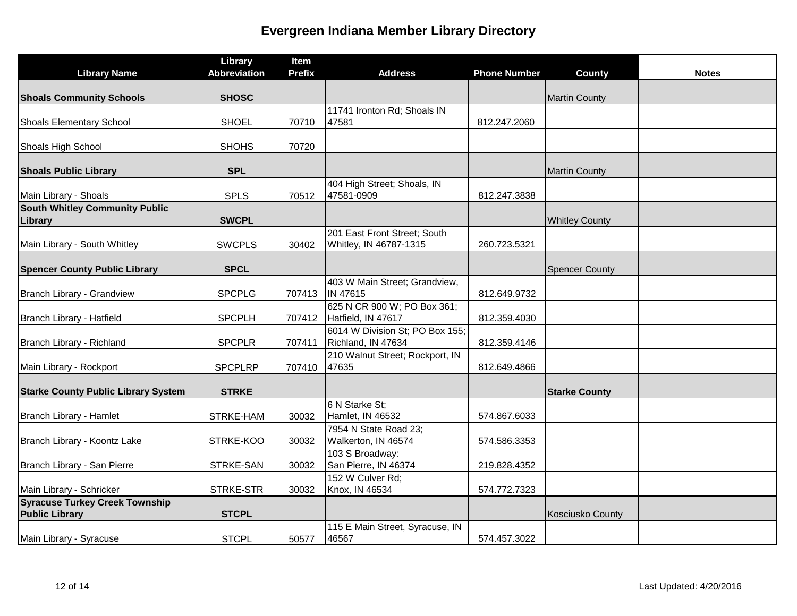| <b>Library Name</b>                                            | Library<br><b>Abbreviation</b> | Item<br><b>Prefix</b> | <b>Address</b>                                         | <b>Phone Number</b> | County                | <b>Notes</b> |
|----------------------------------------------------------------|--------------------------------|-----------------------|--------------------------------------------------------|---------------------|-----------------------|--------------|
| <b>Shoals Community Schools</b>                                | <b>SHOSC</b>                   |                       |                                                        |                     | <b>Martin County</b>  |              |
| <b>Shoals Elementary School</b>                                | <b>SHOEL</b>                   | 70710                 | 11741 Ironton Rd; Shoals IN<br>47581                   | 812.247.2060        |                       |              |
| Shoals High School                                             | <b>SHOHS</b>                   | 70720                 |                                                        |                     |                       |              |
| <b>Shoals Public Library</b>                                   | <b>SPL</b>                     |                       |                                                        |                     | <b>Martin County</b>  |              |
| Main Library - Shoals                                          | <b>SPLS</b>                    | 70512                 | 404 High Street; Shoals, IN<br>47581-0909              | 812.247.3838        |                       |              |
| <b>South Whitley Community Public</b><br>Library               | <b>SWCPL</b>                   |                       |                                                        |                     | <b>Whitley County</b> |              |
| Main Library - South Whitley                                   | <b>SWCPLS</b>                  | 30402                 | 201 East Front Street; South<br>Whitley, IN 46787-1315 | 260.723.5321        |                       |              |
| <b>Spencer County Public Library</b>                           | <b>SPCL</b>                    |                       |                                                        |                     | <b>Spencer County</b> |              |
| Branch Library - Grandview                                     | <b>SPCPLG</b>                  | 707413                | 403 W Main Street; Grandview,<br>IN 47615              | 812.649.9732        |                       |              |
| Branch Library - Hatfield                                      | <b>SPCPLH</b>                  | 707412                | 625 N CR 900 W; PO Box 361;<br>Hatfield, IN 47617      | 812.359.4030        |                       |              |
| Branch Library - Richland                                      | <b>SPCPLR</b>                  | 707411                | 6014 W Division St; PO Box 155;<br>Richland, IN 47634  | 812.359.4146        |                       |              |
| Main Library - Rockport                                        | <b>SPCPLRP</b>                 | 707410                | 210 Walnut Street; Rockport, IN<br>47635               | 812.649.4866        |                       |              |
| <b>Starke County Public Library System</b>                     | <b>STRKE</b>                   |                       |                                                        |                     | <b>Starke County</b>  |              |
| Branch Library - Hamlet                                        | STRKE-HAM                      | 30032                 | 6 N Starke St;<br>Hamlet, IN 46532                     | 574.867.6033        |                       |              |
| Branch Library - Koontz Lake                                   | STRKE-KOO                      | 30032                 | 7954 N State Road 23;<br>Walkerton, IN 46574           | 574.586.3353        |                       |              |
| Branch Library - San Pierre                                    | STRKE-SAN                      | 30032                 | 103 S Broadway:<br>San Pierre, IN 46374                | 219.828.4352        |                       |              |
| Main Library - Schricker                                       | STRKE-STR                      | 30032                 | 152 W Culver Rd;<br>Knox, IN 46534                     | 574.772.7323        |                       |              |
| <b>Syracuse Turkey Creek Township</b><br><b>Public Library</b> | <b>STCPL</b>                   |                       |                                                        |                     | Kosciusko County      |              |
| Main Library - Syracuse                                        | <b>STCPL</b>                   | 50577                 | 115 E Main Street, Syracuse, IN<br>46567               | 574.457.3022        |                       |              |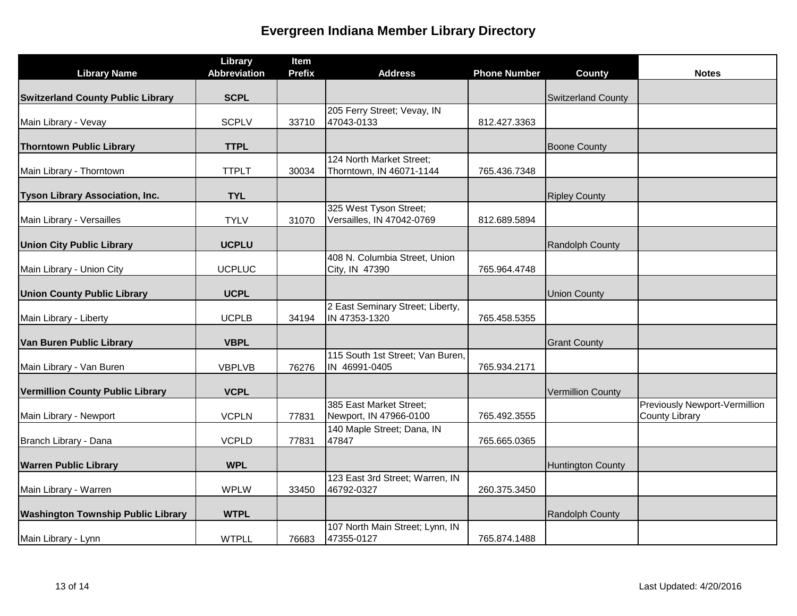| <b>Library Name</b>                       | Library<br><b>Abbreviation</b> | Item<br><b>Prefix</b> | <b>Address</b>                                    | <b>Phone Number</b> | County                    | <b>Notes</b>                  |
|-------------------------------------------|--------------------------------|-----------------------|---------------------------------------------------|---------------------|---------------------------|-------------------------------|
|                                           |                                |                       |                                                   |                     |                           |                               |
| <b>Switzerland County Public Library</b>  | <b>SCPL</b>                    |                       |                                                   |                     | <b>Switzerland County</b> |                               |
|                                           |                                |                       | 205 Ferry Street; Vevay, IN                       |                     |                           |                               |
| Main Library - Vevay                      | <b>SCPLV</b>                   | 33710                 | 47043-0133                                        | 812.427.3363        |                           |                               |
| <b>Thorntown Public Library</b>           | <b>TTPL</b>                    |                       |                                                   |                     | <b>Boone County</b>       |                               |
|                                           |                                |                       | 124 North Market Street;                          |                     |                           |                               |
| Main Library - Thorntown                  | <b>TTPLT</b>                   | 30034                 | Thorntown, IN 46071-1144                          | 765.436.7348        |                           |                               |
| <b>Tyson Library Association, Inc.</b>    | <b>TYL</b>                     |                       |                                                   |                     | <b>Ripley County</b>      |                               |
|                                           |                                |                       | 325 West Tyson Street;                            |                     |                           |                               |
| Main Library - Versailles                 | <b>TYLV</b>                    | 31070                 | Versailles, IN 47042-0769                         | 812.689.5894        |                           |                               |
| <b>Union City Public Library</b>          | <b>UCPLU</b>                   |                       |                                                   |                     | Randolph County           |                               |
|                                           |                                |                       | 408 N. Columbia Street, Union                     |                     |                           |                               |
| Main Library - Union City                 | <b>UCPLUC</b>                  |                       | City, IN 47390                                    | 765.964.4748        |                           |                               |
| <b>Union County Public Library</b>        | <b>UCPL</b>                    |                       |                                                   |                     | <b>Union County</b>       |                               |
| Main Library - Liberty                    | <b>UCPLB</b>                   | 34194                 | 2 East Seminary Street; Liberty,<br>IN 47353-1320 | 765.458.5355        |                           |                               |
|                                           |                                |                       |                                                   |                     |                           |                               |
| Van Buren Public Library                  | <b>VBPL</b>                    |                       |                                                   |                     | <b>Grant County</b>       |                               |
|                                           |                                |                       | 115 South 1st Street; Van Buren,                  |                     |                           |                               |
| Main Library - Van Buren                  | <b>VBPLVB</b>                  | 76276                 | IN 46991-0405                                     | 765.934.2171        |                           |                               |
| <b>Vermillion County Public Library</b>   | <b>VCPL</b>                    |                       |                                                   |                     | <b>Vermillion County</b>  |                               |
|                                           |                                |                       | 385 East Market Street;                           |                     |                           | Previously Newport-Vermillion |
| Main Library - Newport                    | <b>VCPLN</b>                   | 77831                 | Newport, IN 47966-0100                            | 765.492.3555        |                           | <b>County Library</b>         |
|                                           |                                |                       | 140 Maple Street; Dana, IN<br>47847               |                     |                           |                               |
| Branch Library - Dana                     | <b>VCPLD</b>                   | 77831                 |                                                   | 765.665.0365        |                           |                               |
| <b>Warren Public Library</b>              | <b>WPL</b>                     |                       |                                                   |                     | <b>Huntington County</b>  |                               |
|                                           |                                |                       | 123 East 3rd Street; Warren, IN                   |                     |                           |                               |
| Main Library - Warren                     | <b>WPLW</b>                    | 33450                 | 46792-0327                                        | 260.375.3450        |                           |                               |
| <b>Washington Township Public Library</b> | <b>WTPL</b>                    |                       |                                                   |                     | Randolph County           |                               |
|                                           |                                |                       | 107 North Main Street; Lynn, IN                   |                     |                           |                               |
| Main Library - Lynn                       | <b>WTPLL</b>                   | 76683                 | 47355-0127                                        | 765.874.1488        |                           |                               |